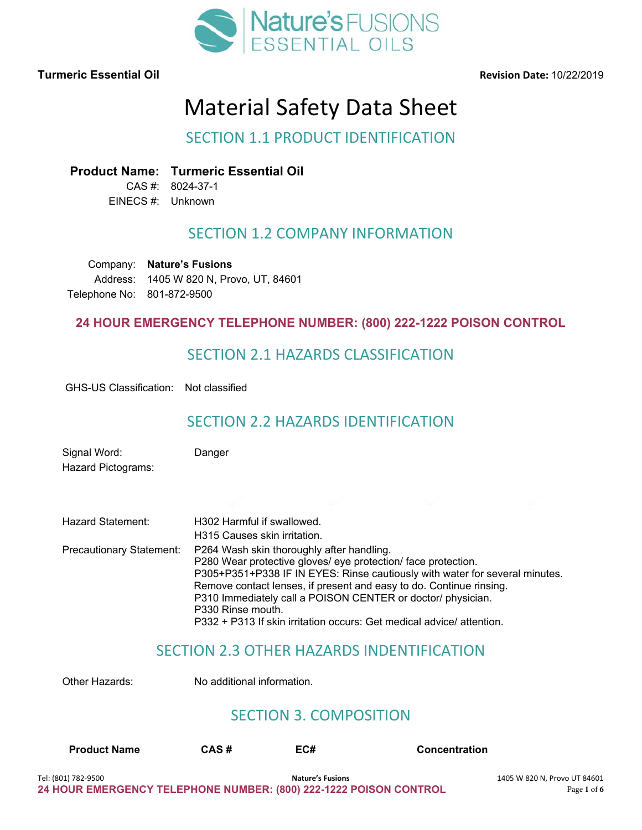

# Material Safety Data Sheet

# SECTION 1.1 PRODUCT IDENTIFICATION

**Product Name: Turmeric Essential Oil** CAS #: 8024-37-1

EINECS #: Unknown

### SECTION 1.2 COMPANY INFORMATION

Company: **Nature's Fusions** Address: 1405 W 820 N, Provo, UT, 84601 Telephone No: 801-872-9500

#### **24 HOUR EMERGENCY TELEPHONE NUMBER: (800) 222-1222 POISON CONTROL**

#### SECTION 2.1 HAZARDS CLASSIFICATION

GHS-US Classification: Not classified

# SECTION 2.2 HAZARDS IDENTIFICATION

Signal Word: Danger Hazard Pictograms:

Hazard Statement: H302 Harmful if swallowed. H315 Causes skin irritation. Precautionary Statement: P264 Wash skin thoroughly after handling. P280 Wear protective gloves/ eye protection/ face protection. P305+P351+P338 IF IN EYES: Rinse cautiously with water for several minutes. Remove contact lenses, if present and easy to do. Continue rinsing. P310 Immediately call a POISON CENTER or doctor/ physician. P330 Rinse mouth. P332 + P313 If skin irritation occurs: Get medical advice/ attention.

### SECTION 2.3 OTHER HAZARDS INDENTIFICATION

Other Hazards: No additional information.

# SECTION 3. COMPOSITION

| <b>Product Name</b>                                               | CAS # | EC#                     | <b>Concentration</b> |                              |
|-------------------------------------------------------------------|-------|-------------------------|----------------------|------------------------------|
| Tel: (801) 782-9500                                               |       | <b>Nature's Fusions</b> |                      | 1405 W 820 N, Provo UT 84601 |
| 24 HOUR EMERGENCY TELEPHONE NUMBER: (800) 222-1222 POISON CONTROL |       |                         |                      | Page 1 of 6                  |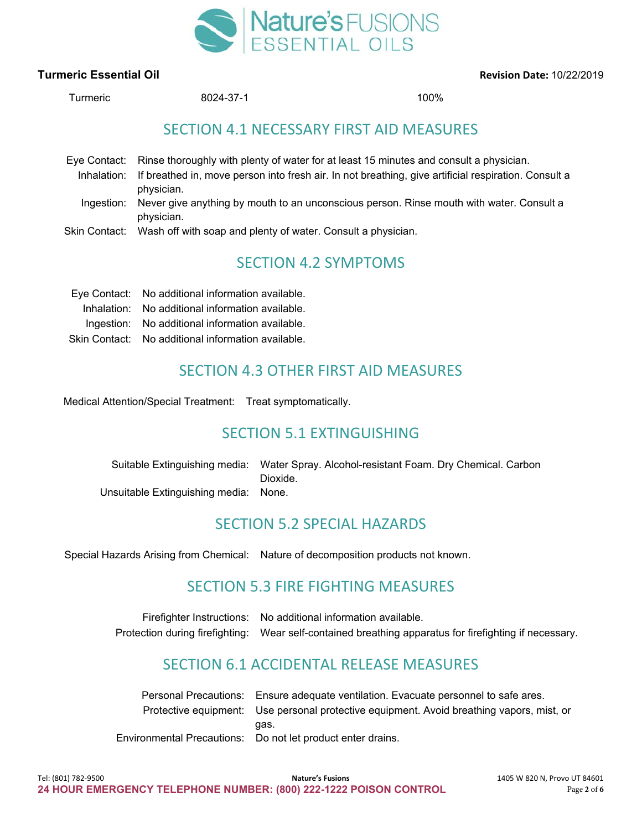

Turmeric 100% 8024-37-1

### SECTION 4.1 NECESSARY FIRST AID MEASURES

- Eye Contact: Rinse thoroughly with plenty of water for at least 15 minutes and consult a physician.
- If breathed in, move person into fresh air. In not breathing, give artificial respiration. Consult a physician.
- Ingestion: Never give anything by mouth to an unconscious person. Rinse mouth with water. Consult a physician.
- Skin Contact: Wash off with soap and plenty of water. Consult a physician.

### SECTION 4.2 SYMPTOMS

- Inhalation: No additional information available.
- Ingestion: No additional information available.
- Skin Contact: No additional information available.

### SECTION 4.3 OTHER FIRST AID MEASURES

Medical Attention/Special Treatment: Treat symptomatically.

### SECTION 5.1 EXTINGUISHING

Suitable Extinguishing media: Water Spray. Alcohol-resistant Foam. Dry Chemical. Carbon Dioxide. Unsuitable Extinguishing media: None.

### SECTION 5.2 SPECIAL HAZARDS

Special Hazards Arising from Chemical: Nature of decomposition products not known.

### SECTION 5.3 FIRE FIGHTING MEASURES

Firefighter Instructions: No additional information available. Protection during firefighting: Wear self-contained breathing apparatus for firefighting if necessary.

# SECTION 6.1 ACCIDENTAL RELEASE MEASURES

Personal Precautions: Ensure adequate ventilation. Evacuate personnel to safe ares. Protective equipment: Use personal protective equipment. Avoid breathing vapors, mist, or gas. Environmental Precautions: Do not let product enter drains.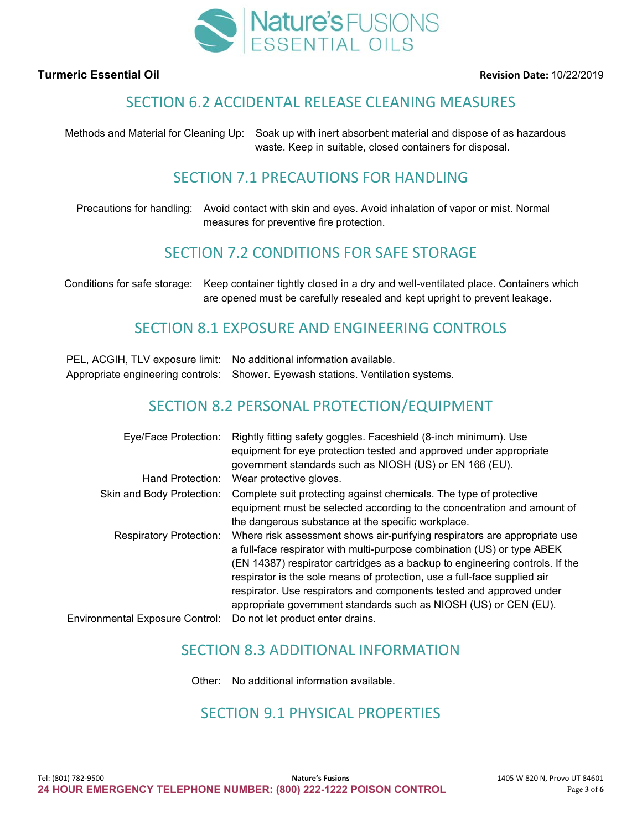

#### SECTION 6.2 ACCIDENTAL RELEASE CLEANING MEASURES

Methods and Material for Cleaning Up: Soak up with inert absorbent material and dispose of as hazardous waste. Keep in suitable, closed containers for disposal.

#### SECTION 7.1 PRECAUTIONS FOR HANDLING

Precautions for handling: Avoid contact with skin and eyes. Avoid inhalation of vapor or mist. Normal measures for preventive fire protection.

#### SECTION 7.2 CONDITIONS FOR SAFE STORAGE

Conditions for safe storage: Keep container tightly closed in a dry and well-ventilated place. Containers which are opened must be carefully resealed and kept upright to prevent leakage.

#### SECTION 8.1 EXPOSURE AND ENGINEERING CONTROLS

| PEL, ACGIH, TLV exposure limit: No additional information available.             |
|----------------------------------------------------------------------------------|
| Appropriate engineering controls: Shower. Eyewash stations. Ventilation systems. |

#### SECTION 8.2 PERSONAL PROTECTION/EQUIPMENT

| Eye/Face Protection:            | Rightly fitting safety goggles. Faceshield (8-inch minimum). Use                                                              |
|---------------------------------|-------------------------------------------------------------------------------------------------------------------------------|
|                                 | equipment for eye protection tested and approved under appropriate<br>government standards such as NIOSH (US) or EN 166 (EU). |
| Hand Protection:                | Wear protective gloves.                                                                                                       |
| Skin and Body Protection:       | Complete suit protecting against chemicals. The type of protective                                                            |
|                                 | equipment must be selected according to the concentration and amount of                                                       |
|                                 | the dangerous substance at the specific workplace.                                                                            |
| <b>Respiratory Protection:</b>  | Where risk assessment shows air-purifying respirators are appropriate use                                                     |
|                                 | a full-face respirator with multi-purpose combination (US) or type ABEK                                                       |
|                                 | (EN 14387) respirator cartridges as a backup to engineering controls. If the                                                  |
|                                 | respirator is the sole means of protection, use a full-face supplied air                                                      |
|                                 | respirator. Use respirators and components tested and approved under                                                          |
|                                 | appropriate government standards such as NIOSH (US) or CEN (EU).                                                              |
| Environmental Exposure Control: | Do not let product enter drains.                                                                                              |

#### SECTION 8.3 ADDITIONAL INFORMATION

Other: No additional information available.

# SECTION 9.1 PHYSICAL PROPERTIES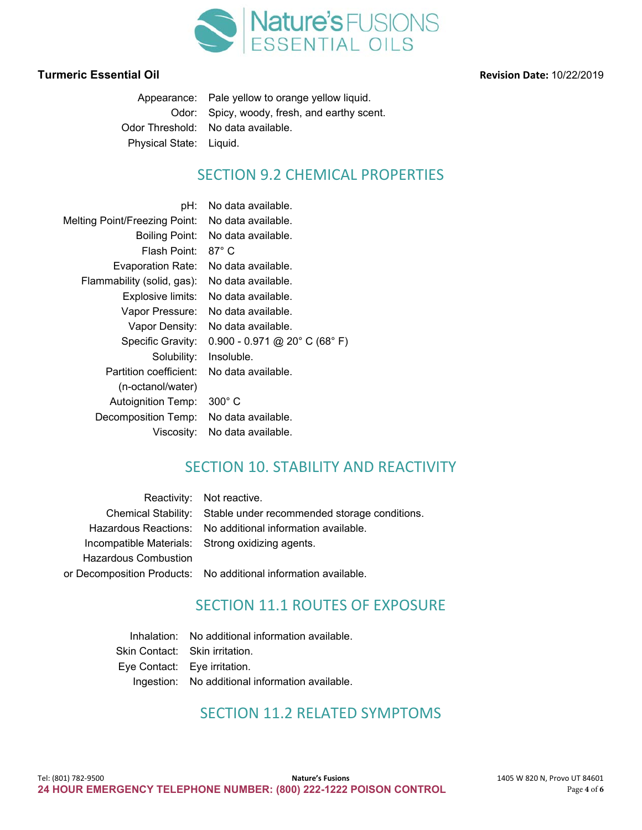

Appearance: Pale yellow to orange yellow liquid. Odor: Spicy, woody, fresh, and earthy scent. Odor Threshold: No data available. Physical State: Liquid.

### SECTION 9.2 CHEMICAL PROPERTIES

| pH:                                  | No data available.              |
|--------------------------------------|---------------------------------|
| <b>Melting Point/Freezing Point:</b> | No data available.              |
| Boiling Point:                       | No data available.              |
| Flash Point:                         | $87^\circ$ C                    |
| <b>Evaporation Rate:</b>             | No data available.              |
| Flammability (solid, gas):           | No data available.              |
| Explosive limits:                    | No data available.              |
| Vapor Pressure:                      | No data available.              |
| Vapor Density:                       | No data available.              |
| Specific Gravity:                    | $0.900 - 0.971$ @ 20° C (68° F) |
| Solubility:                          | Insoluble.                      |
| Partition coefficient:               | No data available.              |
| (n-octanol/water)                    |                                 |
| <b>Autoignition Temp:</b>            | $300^\circ$ C                   |
| Decomposition Temp:                  | No data available.              |
| Viscosity:                           | No data available.              |

### SECTION 10. STABILITY AND REACTIVITY

|                             | Reactivity: Not reactive.                                        |
|-----------------------------|------------------------------------------------------------------|
|                             | Chemical Stability: Stable under recommended storage conditions. |
|                             | Hazardous Reactions: No additional information available.        |
|                             | Incompatible Materials: Strong oxidizing agents.                 |
| <b>Hazardous Combustion</b> |                                                                  |
|                             | or Decomposition Products: No additional information available.  |

#### SECTION 11.1 ROUTES OF EXPOSURE

| Inhalation: No additional information available. |
|--------------------------------------------------|
| Skin Contact: Skin irritation.                   |
| Eye Contact: Eye irritation.                     |
| Ingestion: No additional information available.  |

## SECTION 11.2 RELATED SYMPTOMS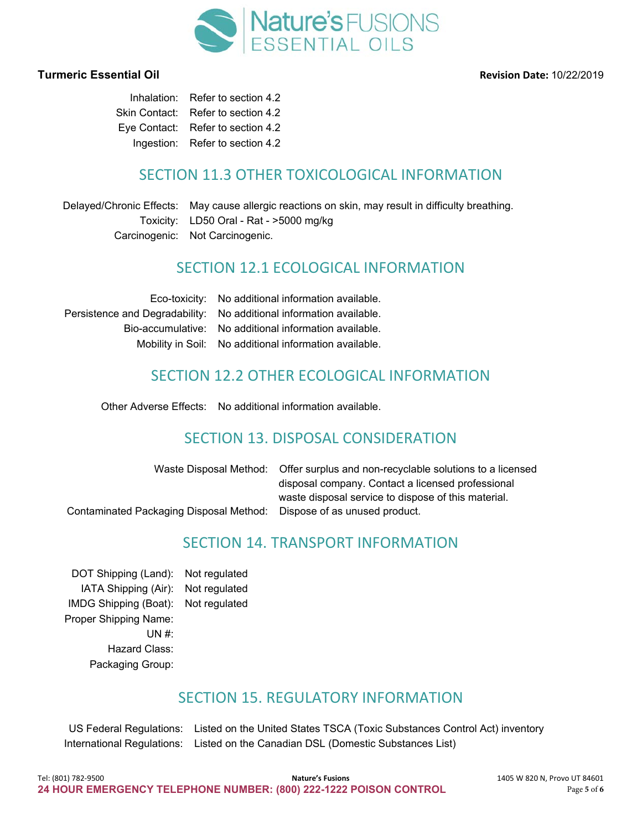

| Inhalation: Refer to section 4.2   |
|------------------------------------|
| Skin Contact: Refer to section 4.2 |
| Eye Contact: Refer to section 4.2  |
| Ingestion: Refer to section 4.2    |

#### SECTION 11.3 OTHER TOXICOLOGICAL INFORMATION

| Delayed/Chronic Effects: May cause allergic reactions on skin, may result in difficulty breathing. |
|----------------------------------------------------------------------------------------------------|
| Toxicity: LD50 Oral - Rat - $>5000$ mg/kg                                                          |
| Carcinogenic: Not Carcinogenic.                                                                    |

#### SECTION 12.1 ECOLOGICAL INFORMATION

| Eco-toxicity: No additional information available.                  |
|---------------------------------------------------------------------|
| Persistence and Degradability: No additional information available. |
| Bio-accumulative: No additional information available.              |
| Mobility in Soil: No additional information available.              |

## SECTION 12.2 OTHER ECOLOGICAL INFORMATION

Other Adverse Effects: No additional information available.

### SECTION 13. DISPOSAL CONSIDERATION

|                                         | Waste Disposal Method: Offer surplus and non-recyclable solutions to a licensed |
|-----------------------------------------|---------------------------------------------------------------------------------|
|                                         | disposal company. Contact a licensed professional                               |
|                                         | waste disposal service to dispose of this material.                             |
| Contaminated Packaging Disposal Method: | Dispose of as unused product.                                                   |

### SECTION 14. TRANSPORT INFORMATION

DOT Shipping (Land): Not regulated IATA Shipping (Air): Not regulated IMDG Shipping (Boat): Not regulated Proper Shipping Name:  $UN#$ Hazard Class: Packaging Group:

### SECTION 15, REGULATORY INFORMATION

US Federal Regulations: Listed on the United States TSCA (Toxic Substances Control Act) inventory International Regulations: Listed on the Canadian DSL (Domestic Substances List)